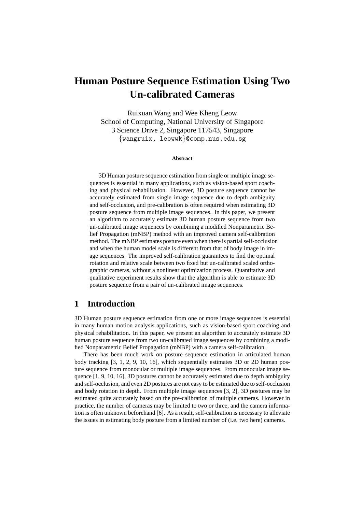# **Human Posture Sequence Estimation Using Two Un-calibrated Cameras**

Ruixuan Wang and Wee Kheng Leow School of Computing, National University of Singapore 3 Science Drive 2, Singapore 117543, Singapore {wangruix, leowwk}@comp.nus.edu.sg

#### **Abstract**

3D Human posture sequence estimation from single or multiple image sequences is essential in many applications, such as vision-based sport coaching and physical rehabilitation. However, 3D posture sequence cannot be accurately estimated from single image sequence due to depth ambiguity and self-occlusion, and pre-calibration is often required when estimating 3D posture sequence from multiple image sequences. In this paper, we present an algorithm to accurately estimate 3D human posture sequence from two un-calibrated image sequences by combining a modified Nonparametric Belief Propagation (mNBP) method with an improved camera self-calibration method. The mNBP estimates posture even when there is partial self-occlusion and when the human model scale is different from that of body image in image sequences. The improved self-calibration guarantees to find the optimal rotation and relative scale between two fixed but un-calibrated scaled orthographic cameras, without a nonlinear optimization process. Quantitative and qualitative experiment results show that the algorithm is able to estimate 3D posture sequence from a pair of un-calibrated image sequences.

### **1 Introduction**

3D Human posture sequence estimation from one or more image sequences is essential in many human motion analysis applications, such as vision-based sport coaching and physical rehabilitation. In this paper, we present an algorithm to accurately estimate 3D human posture sequence from two un-calibrated image sequences by combining a modified Nonparametric Belief Propagation (mNBP) with a camera self-calibration.

There has been much work on posture sequence estimation in articulated human body tracking [3, 1, 2, 9, 10, 16], which sequentially estimates 3D or 2D human posture sequence from monocular or multiple image sequences. From monocular image sequence  $[1, 9, 10, 16]$ , 3D postures cannot be accurately estimated due to depth ambiguity and self-occlusion, and even 2D postures are not easy to be estimated due to self-occlusion and body rotation in depth. From multiple image sequences [3, 2], 3D postures may be estimated quite accurately based on the pre-calibration of multiple cameras. However in practice, the number of cameras may be limited to two or three, and the camera information is often unknown beforehand [6]. As a result, self-calibration is necessary to alleviate the issues in estimating body posture from a limited number of (i.e. two here) cameras.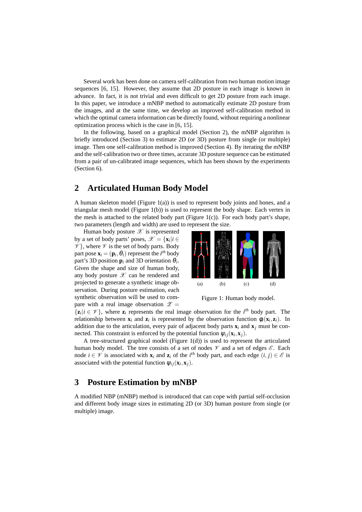Several work has been done on camera self-calibration from two human motion image sequences [6, 15]. However, they assume that 2D posture in each image is known in advance. In fact, it is not trivial and even difficult to get 2D posture from each image. In this paper, we introduce a mNBP method to automatically estimate 2D posture from the images, and at the same time, we develop an improved self-calibration method in which the optimal camera information can be directly found, without requiring a nonlinear optimization process which is the case in [6, 15].

In the following, based on a graphical model (Section 2), the mNBP algorithm is briefly introduced (Section 3) to estimate 2D (or 3D) posture from single (or multiple) image. Then one self-calibration method is improved (Section 4). By iterating the mNBP and the self-calibration two or three times, accurate 3D posture sequence can be estimated from a pair of un-calibrated image sequences, which has been shown by the experiments (Section 6).

### **2 Articulated Human Body Model**

A human skeleton model (Figure 1(a)) is used to represent body joints and bones, and a triangular mesh model (Figure 1(b)) is used to represent the body shape. Each vertex in the mesh is attached to the related body part (Figure 1(c)). For each body part's shape, two parameters (length and width) are used to represent the size.

Human body posture  $\mathscr X$  is represented by a set of body parts' poses,  $\mathcal{X} = {\mathbf{x}_i | i \in \mathbb{R}^d}$  $\mathscr{V}$ , where  $\mathscr{V}$  is the set of body parts. Body part pose  $\mathbf{x}_i = (\mathbf{p}_i, \theta_i)$  represent the  $i^{th}$  body part's 3D position  $\mathbf{p}_i$  and 3D orientation  $\theta_i$ . Given the shape and size of human body, any body posture  $\mathscr X$  can be rendered and projected to generate a synthetic image observation. During posture estimation, each synthetic observation will be used to compare with a real image observation  $\mathscr{Z} =$ 



Figure 1: Human body model.

 $\{z_i | i \in \mathcal{V}\}\$ , where  $z_i$  represents the real image observation for the *i*<sup>th</sup> body part. The relationship between  $\mathbf{x}_i$  and  $\mathbf{z}_i$  is represented by the observation function  $\phi_i(\mathbf{x}_i, \mathbf{z}_i)$ . In addition due to the articulation, every pair of adjacent body parts  $\mathbf{x}_i$  and  $\mathbf{x}_j$  must be connected. This constraint is enforced by the potential function  $\psi_{ij}(\mathbf{x}_i, \mathbf{x}_j)$ .

A tree-structured graphical model (Figure 1(d)) is used to represent the articulated human body model. The tree consists of a set of nodes  $\mathcal V$  and a set of edges  $\mathcal E$ . Each node  $i \in \mathcal{V}$  is associated with  $\mathbf{x}_i$  and  $\mathbf{z}_i$  of the *i*<sup>th</sup> body part, and each edge  $(i, j) \in \mathcal{E}$  is associated with the potential function  $\psi_{ij}(\mathbf{x}_i, \mathbf{x}_j)$ .

### **3 Posture Estimation by mNBP**

A modified NBP (mNBP) method is introduced that can cope with partial self-occlusion and different body image sizes in estimating 2D (or 3D) human posture from single (or multiple) image.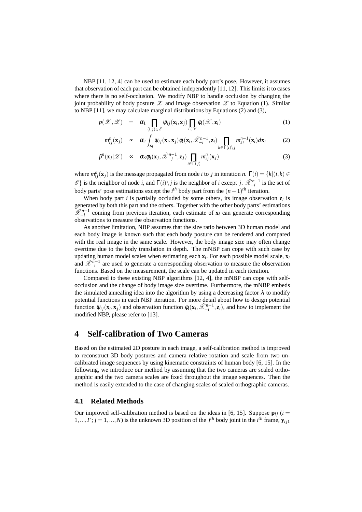NBP [11, 12, 4] can be used to estimate each body part's pose. However, it assumes that observation of each part can be obtained independently [11, 12]. This limits it to cases where there is no self-occlusion. We modify NBP to handle occlusion by changing the joint probability of body posture  $\mathscr X$  and image observation  $\mathscr Z$  to Equation (1). Similar to NBP [11], we may calculate marginal distributions by Equations (2) and (3),

$$
p(\mathscr{X},\mathscr{Z}) = \alpha_1 \prod_{(i,j)\in\mathscr{E}} \psi_{ij}(\mathbf{x}_i,\mathbf{x}_j) \prod_{i\in\mathscr{V}} \phi_i(\mathscr{X},\mathbf{z}_i)
$$
(1)

$$
m_{ij}^n(\mathbf{x}_j) \sim \alpha_2 \int_{\mathbf{x}_i} \psi_{ij}(\mathbf{x}_i, \mathbf{x}_j) \phi_i(\mathbf{x}_i, \tilde{\mathscr{X}}_{-i}^{n-1}, \mathbf{z}_i) \prod_{k \in \Gamma(i) \setminus j} m_{ki}^{n-1}(\mathbf{x}_i) d\mathbf{x}_i \tag{2}
$$

$$
\hat{p}^n(\mathbf{x}_j|\mathscr{Z}) \quad \propto \quad \alpha_3 \phi_j(\mathbf{x}_j, \tilde{\mathscr{X}}_{-j}^{n-1}, \mathbf{z}_j) \prod_{i \in \Gamma(j)} m_{ij}^n(\mathbf{x}_j) \tag{3}
$$

where  $m_{ij}^n(\mathbf{x}_j)$  is the message propagated from node *i* to *j* in iteration *n*.  $\Gamma(i) = \{k | (i, k) \in$  $\mathscr{E}$ } is the neighbor of node *i*, and  $\Gamma(i)\backslash j$  is the neighbor of *i* except *j*.  $\tilde{\mathscr{X}}_{-i}^{n-1}$  is the set of body parts' pose estimations except the *i*<sup>th</sup> body part from the  $(n-1)$ <sup>th</sup> iteration.

When body part  $i$  is partially occluded by some others, its image observation  $z_i$  is generated by both this part and the others. Together with the other body parts' estimations  $\widetilde{\mathcal{X}}_{-i}^{n-1}$  coming from previous iteration, each estimate of **x**<sub>*i*</sub> can generate corresponding observations to measure the observation functions.

As another limitation, NBP assumes that the size ratio between 3D human model and each body image is known such that each body posture can be rendered and compared with the real image in the same scale. However, the body image size may often change overtime due to the body translation in depth. The mNBP can cope with such case by updating human model scales when estimating each **x***<sup>i</sup>* . For each possible model scale, **x***<sup>i</sup>* and  $\tilde{\mathscr{X}}_{-i}^{n-1}$  are used to generate a corresponding observation to measure the observation functions. Based on the measurement, the scale can be updated in each iteration.

Compared to these existing NBP algorithms [12, 4], the mNBP can cope with selfocclusion and the change of body image size overtime. Furthermore, the mNBP embeds the simulated annealing idea into the algorithm by using a decreasing factor  $\lambda$  to modify potential functions in each NBP iteration. For more detail about how to design potential function  $\psi_{ij}(\mathbf{x}_i, \mathbf{x}_j)$  and observation function  $\phi_i(\mathbf{x}_i, \tilde{\mathscr{X}}_{-i}^{n-1}, \mathbf{z}_i)$ , and how to implement the modified NBP, please refer to [13].

### **4 Self-calibration of Two Cameras**

Based on the estimated 2D posture in each image, a self-calibration method is improved to reconstruct 3D body postures and camera relative rotation and scale from two uncalibrated image sequences by using kinematic constraints of human body [6, 15]. In the following, we introduce our method by assuming that the two cameras are scaled orthographic and the two camera scales are fixed throughout the image sequences. Then the method is easily extended to the case of changing scales of scaled orthographic cameras.

#### **4.1 Related Methods**

Our improved self-calibration method is based on the ideas in [6, 15]. Suppose  $\mathbf{p}_{ij}$  (*i* = 1,...,*F*;  $j = 1, ..., N$ ) is the unknown 3D position of the  $j<sup>th</sup>$  body joint in the  $i<sup>th</sup>$  frame,  $y_{ij1}$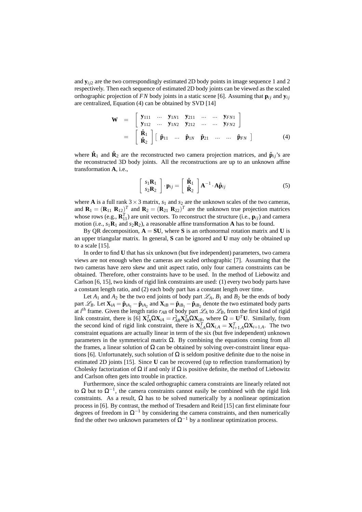and  $\mathbf{y}_{i/2}$  are the two correspondingly estimated 2D body points in image sequence 1 and 2 respectively. Then each sequence of estimated 2D body joints can be viewed as the scaled orthographic projection of *FN* body joints in a static scene [6]. Assuming that  $\mathbf{p}_{ij}$  and  $\mathbf{y}_{ij}$ are centralized, Equation (4) can be obtained by SVD [14]

$$
\mathbf{W} = \begin{bmatrix} \mathbf{y}_{111} & \cdots & \mathbf{y}_{1N1} & \mathbf{y}_{211} & \cdots & \cdots & \mathbf{y}_{FN1} \\ \mathbf{y}_{112} & \cdots & \mathbf{y}_{1N2} & \mathbf{y}_{212} & \cdots & \cdots & \mathbf{y}_{FN2} \end{bmatrix}
$$

$$
= \begin{bmatrix} \hat{\mathbf{R}}_1 \\ \hat{\mathbf{R}}_2 \end{bmatrix} \begin{bmatrix} \hat{\mathbf{p}}_{11} & \cdots & \hat{\mathbf{p}}_{1N} & \hat{\mathbf{p}}_{21} & \cdots & \cdots & \hat{\mathbf{p}}_{FN} \end{bmatrix}
$$
(4)

where  $\hat{\mathbf{R}}_1$  and  $\hat{\mathbf{R}}_2$  are the reconstructed two camera projection matrices, and  $\hat{\mathbf{p}}_{ij}$ 's are the reconstructed 3D body joints. All the reconstructions are up to an unknown affine transformation **A**, i.e.,

$$
\begin{bmatrix} s_1 \mathbf{R}_1 \\ s_2 \mathbf{R}_2 \end{bmatrix} \cdot \mathbf{p}_{ij} = \begin{bmatrix} \hat{\mathbf{R}}_1 \\ \hat{\mathbf{R}}_2 \end{bmatrix} \mathbf{A}^{-1} \cdot \mathbf{A} \hat{\mathbf{p}}_{ij}
$$
(5)

where **A** is a full rank  $3 \times 3$  matrix,  $s_1$  and  $s_2$  are the unknown scales of the two cameras, and  $\mathbf{R}_1 = (\mathbf{R}_{11} \ \mathbf{R}_{12})^T$  and  $\mathbf{R}_2 = (\mathbf{R}_{21} \ \mathbf{R}_{22})^T$  are the unknown true projection matrices whose rows (e.g.,  $\mathbf{R}_{11}^T$ ) are unit vectors. To reconstruct the structure (i.e.,  $\mathbf{p}_{ij}$ ) and camera motion (i.e.,  $s_1\mathbf{R}_1$  and  $s_2\mathbf{R}_2$ ), a reasonable affine transformation **A** has to be found.

By QR decomposition,  $A = SU$ , where S is an orthonormal rotation matrix and U is an upper triangular matrix. In general, **S** can be ignored and **U** may only be obtained up to a scale [15].

In order to find **U** that has six unknown (but five independent) parameters, two camera views are not enough when the cameras are scaled orthographic [7]. Assuming that the two cameras have zero skew and unit aspect ratio, only four camera constraints can be obtained. Therefore, other constraints have to be used. In the method of Liebowitz and Carlson [6, 15], two kinds of rigid link constraints are used: (1) every two body parts have a constant length ratio, and (2) each body part has a constant length over time.

Let  $A_1$  and  $A_2$  be the two end joints of body part  $\mathscr{L}_A$ ,  $B_1$  and  $B_2$  be the ends of body part  $\mathscr{L}_B$ . Let  $\mathbf{X}_{iA} = \hat{\mathbf{p}}_{iA_1} - \hat{\mathbf{p}}_{iA_2}$  and  $\mathbf{X}_{iB} = \hat{\mathbf{p}}_{iB_1} - \hat{\mathbf{p}}_{iB_2}$  denote the two estimated body parts at *i*<sup>th</sup> frame. Given the length ratio  $r_{AB}$  of body part  $\mathcal{L}_A$  to  $\mathcal{L}_B$ , from the first kind of rigid link constraint, there is [6]  $\mathbf{X}_{iA}^T \Omega \mathbf{X}_{iA} = r_{AB}^2 \mathbf{X}_{iB}^T \Omega \mathbf{X}_{iB}$ , where  $\Omega = \mathbf{U}^T \mathbf{U}$ . Similarly, from the second kind of rigid link constraint, there is  $\mathbf{X}_{i,A}^T \Omega \mathbf{X}_{i,A} = \mathbf{X}_{i+1,A}^T \Omega \mathbf{X}_{i+1,A}$ . The two constraint equations are actually linear in term of the six (but five independent) unknown parameters in the symmetrical matrix  $\Omega$ . By combining the equations coming from all the frames, a linear solution of  $\Omega$  can be obtained by solving over-constraint linear equations [6]. Unfortunately, such solution of  $\Omega$  is seldom positive definite due to the noise in estimated 2D joints [15]. Since **U** can be recovered (up to reflection transformation) by Cholesky factorization of  $\Omega$  if and only if  $\Omega$  is positive definite, the method of Liebowitz and Carlson often gets into trouble in practice.

Furthermore, since the scaled orthographic camera constraints are linearly related not to Ω but to  $\Omega^{-1}$ , the camera constraints cannot easily be combined with the rigid link constraints. As a result,  $\Omega$  has to be solved numerically by a nonlinear optimization process in [6]. By contrast, the method of Tresadern and Reid [15] can first eliminate four degrees of freedom in  $\Omega^{-1}$  by considering the camera constraints, and then numerically find the other two unknown parameters of  $\Omega^{-1}$  by a nonlinear optimization process.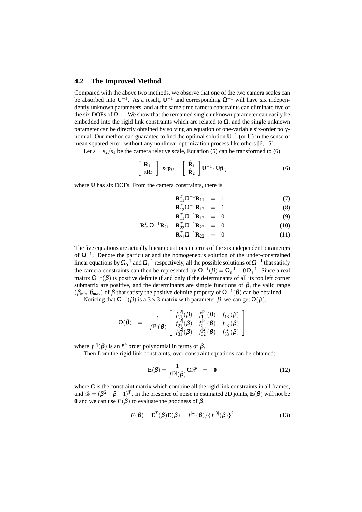#### **4.2 The Improved Method**

Compared with the above two methods, we observe that one of the two camera scales can be absorbed into  $U^{-1}$ . As a result,  $U^{-1}$  and corresponding  $\Omega^{-1}$  will have six independently unknown parameters, and at the same time camera constraints can eliminate five of the six DOFs of  $\Omega^{-1}$ . We show that the remained single unknown parameter can easily be embedded into the rigid link constraints which are related to  $\Omega$ , and the single unknown parameter can be directly obtained by solving an equation of one-variable six-order polynomial. Our method can guarantee to find the optimal solution  $U^{-1}$  (or **U**) in the sense of mean squared error, without any nonlinear optimization process like others [6, 15].

Let  $s = s_2/s_1$  be the camera relative scale, Equation (5) can be transformed to (6)

$$
\begin{bmatrix} \mathbf{R}_1 \\ s\mathbf{R}_2 \end{bmatrix} \cdot s_1 \mathbf{p}_{ij} = \begin{bmatrix} \hat{\mathbf{R}}_1 \\ \hat{\mathbf{R}}_2 \end{bmatrix} \mathbf{U}^{-1} \cdot \mathbf{U} \hat{\mathbf{p}}_{ij}
$$
 (6)

where **U** has six DOFs. From the camera constraints, there is

$$
\mathbf{R}_{11}^T \Omega^{-1} \mathbf{R}_{11} = 1 \tag{7}
$$

$$
\mathbf{R}_{12}^T \Omega^{-1} \mathbf{R}_{12} = 1 \tag{8}
$$

$$
\mathbf{R}_{11}^T \Omega^{-1} \mathbf{R}_{12} = 0 \tag{9}
$$

$$
\mathbf{R}_{21}^T \Omega^{-1} \mathbf{R}_{21} - \mathbf{R}_{22}^T \Omega^{-1} \mathbf{R}_{22} = 0 \tag{10}
$$

$$
\mathbf{R}_{21}^T \Omega^{-1} \mathbf{R}_{22} = 0 \tag{11}
$$

The five equations are actually linear equations in terms of the six independent parameters of  $\Omega^{-1}$ . Denote the particular and the homogeneous solution of the under-constrained linear equations by  $\Omega_0^{-1}$  and  $\Omega_1^{-1}$  respectively, all the possible solutions of  $\Omega^{-1}$  that satisfy the camera constraints can then be represented by  $\Omega^{-1}(\beta) = \Omega_0^{-1} + \beta \Omega_1^{-1}$ . Since a real matrix  $\Omega^{-1}(\beta)$  is positive definite if and only if the determinants of all its top left corner submatrix are positive, and the determinants are simple functions of  $\beta$ , the valid range  $(\beta_{min}, \beta_{max})$  of  $\beta$  that satisfy the positive definite property of  $\Omega^{-1}(\beta)$  can be obtained.

Noticing that  $\Omega^{-1}(\beta)$  is a 3 × 3 matrix with parameter  $\beta$ , we can get  $\Omega(\beta)$ ,

$$
\Omega(\beta) = \frac{1}{f^{[3]}(\beta)} \begin{bmatrix} f_{11}^{[2]}(\beta) & f_{12}^{[2]}(\beta) & f_{13}^{[2]}(\beta) \\ f_{21}^{[2]}(\beta) & f_{22}^{[2]}(\beta) & f_{23}^{[2]}(\beta) \\ f_{31}^{[2]}(\beta) & f_{32}^{[2]}(\beta) & f_{33}^{[2]}(\beta) \end{bmatrix}
$$

where  $f^{[i]}(\beta)$  is an *i*<sup>th</sup> order polynomial in terms of  $\beta$ .

Then from the rigid link constraints, over-constraint equations can be obtained:

$$
\mathbf{E}(\boldsymbol{\beta}) = \frac{1}{f^{[3]}(\boldsymbol{\beta})}\mathbf{C}\boldsymbol{\mathscr{B}} = \mathbf{0}
$$
 (12)

where **C** is the constraint matrix which combine all the rigid link constraints in all frames, and  $\mathscr{B} = (\beta^2 \quad \beta \quad 1)^T$ . In the presence of noise in estimated 2D joints,  $\mathbf{E}(\beta)$  will not be **0** and we can use  $F(\beta)$  to evaluate the goodness of  $\beta$ ,

$$
F(\boldsymbol{\beta}) = \mathbf{E}^T(\boldsymbol{\beta})\mathbf{E}(\boldsymbol{\beta}) = f^{[4]}(\boldsymbol{\beta})/\{f^{[3]}(\boldsymbol{\beta})\}^2
$$
\n(13)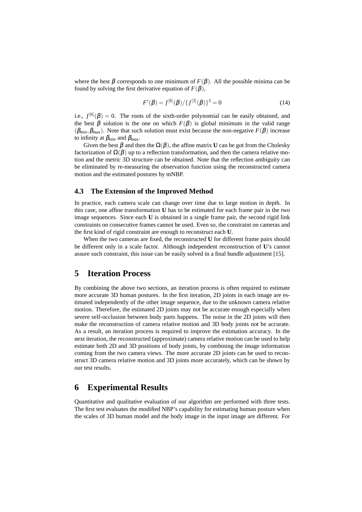where the best  $\beta$  corresponds to one minimum of  $F(\beta)$ . All the possible minima can be found by solving the first derivative equation of  $F(\beta)$ ,

$$
F'(\beta) = f^{[6]}(\beta) / \{f^{[3]}(\beta)\}^3 = 0
$$
\n(14)

i.e.,  $f^{[6]}(\beta) = 0$ . The roots of the sixth-order polynomial can be easily obtained, and the best  $\beta$  solution is the one on which  $F(\beta)$  is global minimum in the valid range  $(\beta_{min}, \beta_{max})$ . Note that such solution must exist because the non-negative  $F(\beta)$  increase to infinity at β*min* and β*max*.

Given the best  $\beta$  and then the  $\Omega(\beta)$ , the affine matrix **U** can be got from the Cholesky factorization of  $\Omega(\beta)$  up to a reflection transformation, and then the camera relative motion and the metric 3D structure can be obtained. Note that the reflection ambiguity can be eliminated by re-measuring the observation function using the reconstructed camera motion and the estimated postures by mNBP.

### **4.3 The Extension of the Improved Method**

In practice, each camera scale can change over time due to large motion in depth. In this case, one affine transformation **U** has to be estimated for each frame pair in the two image sequences. Since each **U** is obtained in a single frame pair, the second rigid link constraints on consecutive frames cannot be used. Even so, the constraint on cameras and the first kind of rigid constraint are enough to reconstruct each **U**.

When the two cameras are fixed, the reconstructed **U** for different frame pairs should be different only in a scale factor. Although independent reconstruction of **U**'s cannot assure such constraint, this issue can be easily solved in a final bundle adjustment [15].

### **5 Iteration Process**

By combining the above two sections, an iteration process is often required to estimate more accurate 3D human postures. In the first iteration, 2D joints in each image are estimated independently of the other image sequence, due to the unknown camera relative motion. Therefore, the estimated 2D joints may not be accurate enough especially when severe self-occlusion between body parts happens. The noise in the 2D joints will then make the reconstruction of camera relative motion and 3D body joints not be accurate. As a result, an iteration process is required to improve the estimation accuracy. In the next iteration, the reconstructed (approximate) camera relative motion can be used to help estimate both 2D and 3D positions of body joints, by combining the image information coming from the two camera views. The more accurate 2D joints can be used to reconstruct 3D camera relative motion and 3D joints more accurately, which can be shown by our test results.

### **6 Experimental Results**

Quantitative and qualitative evaluation of our algorithm are performed with three tests. The first test evaluates the modified NBP's capability for estimating human posture when the scales of 3D human model and the body image in the input image are different. For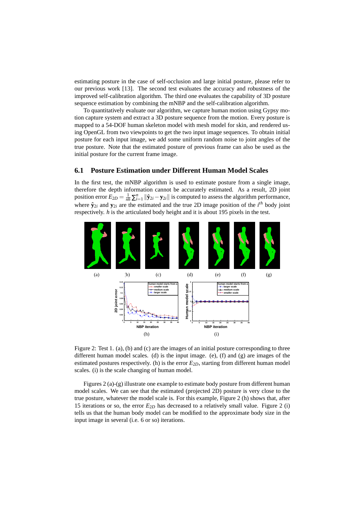estimating posture in the case of self-occlusion and large initial posture, please refer to our previous work [13]. The second test evaluates the accuracy and robustness of the improved self-calibration algorithm. The third one evaluates the capability of 3D posture sequence estimation by combining the mNBP and the self-calibration algorithm.

To quantitatively evaluate our algorithm, we capture human motion using Gypsy motion capture system and extract a 3D posture sequence from the motion. Every posture is mapped to a 54-DOF human skeleton model with mesh model for skin, and rendered using OpenGL from two viewpoints to get the two input image sequences. To obtain initial posture for each input image, we add some uniform random noise to joint angles of the true posture. Note that the estimated posture of previous frame can also be used as the initial posture for the current frame image.

### **6.1 Posture Estimation under Different Human Model Scales**

In the first test, the mNBP algorithm is used to estimate posture from a single image, therefore the depth information cannot be accurately estimated. As a result, 2D joint position error  $E_{2D} = \frac{1}{nh} \sum_{i=1}^{n} ||\hat{\mathbf{y}}_{2i} - \mathbf{y}_{2i}||$  is computed to assess the algorithm performance, where  $\hat{\mathbf{y}}_{2i}$  and  $\mathbf{y}_{2i}$  are the estimated and the true 2D image position of the *i*<sup>th</sup> body joint respectively. *h* is the articulated body height and it is about 195 pixels in the test.



Figure 2: Test 1. (a), (b) and (c) are the images of an initial posture corresponding to three different human model scales. (d) is the input image. (e),  $(f)$  and  $(g)$  are images of the estimated postures respectively. (h) is the error  $E_{2D}$ , starting from different human model scales. (i) is the scale changing of human model.

Figures 2 (a)-(g) illustrate one example to estimate body posture from different human model scales. We can see that the estimated (projected 2D) posture is very close to the true posture, whatever the model scale is. For this example, Figure 2 (h) shows that, after 15 iterations or so, the error  $E_{2D}$  has decreased to a relatively small value. Figure 2 (i) tells us that the human body model can be modified to the approximate body size in the input image in several (i.e. 6 or so) iterations.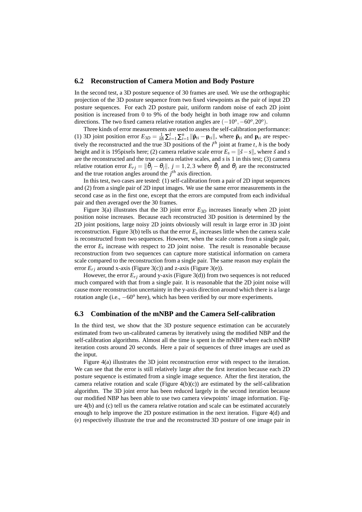#### **6.2 Reconstruction of Camera Motion and Body Posture**

In the second test, a 3D posture sequence of 30 frames are used. We use the orthographic projection of the 3D posture sequence from two fixed viewpoints as the pair of input 2D posture sequences. For each 2D posture pair, uniform random noise of each 2D joint position is increased from 0 to 9% of the body height in both image row and column directions. The two fixed camera relative rotation angles are  $(-10^{\circ}, -60^{\circ}, 20^{\circ})$ .

Three kinds of error measurements are used to assess the self-calibration performance: (1) 3D joint position error  $E_{3D} = \frac{1}{nh} \sum_{t=1}^{l} \sum_{i=1}^{n} ||\mathbf{p}_{ti} - \mathbf{p}_{ti}||$ , where  $\mathbf{p}_{ti}$  and  $\mathbf{p}_{ti}$  are respectively the reconstructed and the true 3D positions of the  $i^{th}$  joint at frame  $t$ ,  $h$  is the body height and it is 195pixels here; (2) camera relative scale error  $E_s = ||\vec{s} - \vec{s}||$ , where  $\vec{s}$  and  $\vec{s}$ are the reconstructed and the true camera relative scales, and *s* is 1 in this test; (3) camera relative rotation error  $E_{rj} = ||\check{\theta}_j - \theta_j||, j = 1, 2, 3$  where  $\check{\theta}_j$  and  $\theta_j$  are the reconstructed and the true rotation angles around the  $j<sup>th</sup>$  axis direction.

In this test, two cases are tested: (1) self-calibration from a pair of 2D input sequences and (2) from a single pair of 2D input images. We use the same error measurements in the second case as in the first one, except that the errors are computed from each individual pair and then averaged over the 30 frames.

Figure 3(a) illustrates that the 3D joint error  $E_{3D}$  increases linearly when 2D joint position noise increases. Because each reconstructed 3D position is determined by the 2D joint positions, large noisy 2D joints obviously will result in large error in 3D joint reconstruction. Figure 3(b) tells us that the error *E<sup>s</sup>* increases little when the camera scale is reconstructed from two sequences. However, when the scale comes from a single pair, the error  $E_s$  increase with respect to 2D joint noise. The result is reasonable because reconstruction from two sequences can capture more statistical information on camera scale compared to the reconstruction from a single pair. The same reason may explain the error  $E_{ri}$  around x-axis (Figure 3(c)) and z-axis (Figure 3(e)).

However, the error  $E_{ri}$  around y-axis (Figure 3(d)) from two sequences is not reduced much compared with that from a single pair. It is reasonable that the 2D joint noise will cause more reconstruction uncertainty in the y-axis direction around which there is a large rotation angle (i.e., −60*<sup>o</sup>* here), which has been verified by our more experiments.

### **6.3 Combination of the mNBP and the Camera Self-calibration**

In the third test, we show that the 3D posture sequence estimation can be accurately estimated from two un-calibrated cameras by iteratively using the modified NBP and the self-calibration algorithms. Almost all the time is spent in the mNBP where each mNBP iteration costs around 20 seconds. Here a pair of sequences of three images are used as the input.

Figure 4(a) illustrates the 3D joint reconstruction error with respect to the iteration. We can see that the error is still relatively large after the first iteration because each 2D posture sequence is estimated from a single image sequence. After the first iteration, the camera relative rotation and scale (Figure  $4(b)(c)$ ) are estimated by the self-calibration algorithm. The 3D joint error has been reduced largely in the second iteration because our modified NBP has been able to use two camera viewpoints' image information. Figure 4(b) and (c) tell us the camera relative rotation and scale can be estimated accurately enough to help improve the 2D posture estimation in the next iteration. Figure 4(d) and (e) respectively illustrate the true and the reconstructed 3D posture of one image pair in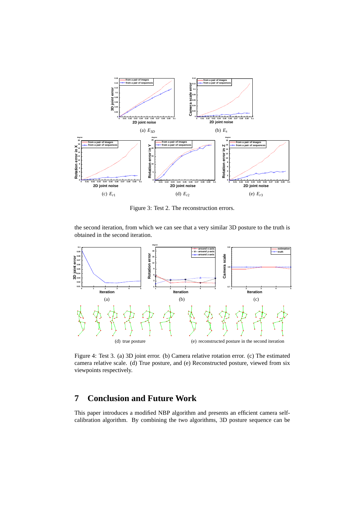

Figure 3: Test 2. The reconstruction errors.

the second iteration, from which we can see that a very similar 3D posture to the truth is obtained in the second iteration.



Figure 4: Test 3. (a) 3D joint error. (b) Camera relative rotation error. (c) The estimated camera relative scale. (d) True posture, and (e) Reconstructed posture, viewed from six viewpoints respectively.

## **7 Conclusion and Future Work**

This paper introduces a modified NBP algorithm and presents an efficient camera selfcalibration algorithm. By combining the two algorithms, 3D posture sequence can be